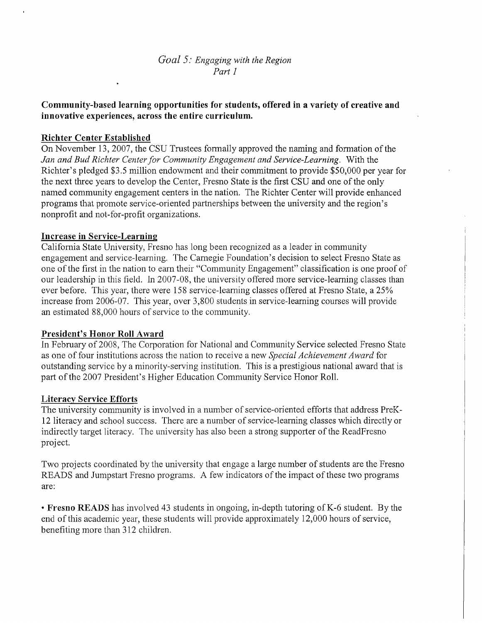*Goal* 5: *Engaging with the Region Part 1*

# **Community-based learning opportunities for students, offered in a variety of creative and innovative experiences, across the entire curriculum.**

# **Richter Center Established**

On November 13, 2007, the CSU Trustees formally approved the naming and formation of the *Jan and Bud Richter Centerfor Community Engagement and Service-Learning.* With the Richter's pledged \$3.5 million endowment and their commitment to provide \$50,000 per year for the next three years to develop the Center, Fresno State is the first CSU and one of the only named community engagement centers in the nation. The Richter Center will provide enhanced programs that promote service-oriented partnerships between the university and the region's nonprofit and not-for-profit organizations.

### **Increase in Service-Learning**

California State University, Fresno has long been recognized as a leader in community engagement and service-learning. The Carnegie Foundation's decision to select Fresno State as one ofthe first in the nation to earn their "Community Engagement" classification is one proof of our leadership in this field. In 2007-08, the university offered more service-learning classes than ever before. This year, there were 158 service-learning classes offered at Fresno State, a 25% increase from 2006-07. This year, over 3,800 students in service-learning courses will provide an estimated 88,000 hours of service to the community.

### **President's Honor Roll Award**

In February of 2008, The Corporation for National and Community Service selected Fresno State as one of four institutions across the nation to receive a new *Special Achievement Award* for outstanding service by a minority-serving institution. This is a prestigious national award that is part of the 2007 President's Higher Education Community Service Honor Roll.

### **Literacy Service Efforts**

The university community is involved in a number of service-oriented efforts that address PreK-12 literacy and school success. There are a number of service-learning classes which directly or indirectly target literacy. The university has also been a strong supporter of the ReadFresno project.

Two projects coordinated by the university that engage a large number of students are the Fresno READS and Jumpstart Fresno programs. A few indicators of the impact of these two programs are:

**• Fresno READS** has involved 43 students in ongoing, in-depth tutoring ofK-6 student. By the end of this academic year, these students will provide approximately 12,000 hours of service, benefiting more than 312 children.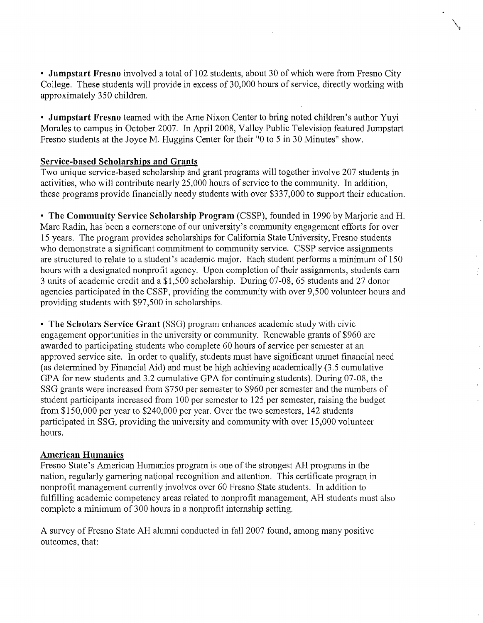**• Jumpstart Fresno** involved a total of 102 students, about 30 of which were from Fresno City College. These students will provide in excess of 30,000 hours of service, directly working with approximately 350 children.

\,

**• Jumpstart Fresno** teamed with the Arne Nixon Center to bring noted children's author Yuyi Morales to campus in October 2007. In April 2008, Valley Public Television featured Jumpstart Fresno students at the Joyce M. Huggins Center for their "0 to 5 in 30 Minutes" show.

### **Service-based Scholarships and Grants**

Two unique service-based scholarship and grant programs will together involve 207 students in activities, who will contribute nearly 25,000 hours of service to the community. In addition, these programs provide financially needy students with over \$337,000 to support their education.

**• The Community Service Scholarship Program** (CSSP), founded in 1990 by Marjorie and H. Marc Radin, has been a cornerstone of our university's community engagement efforts for over 15 years. The program provides scholarships for California State University, Fresno students who demonstrate a significant commitment to community service. CSSP service assignments are structured to relate to a student's academic major. Each student performs a minimum of 150 hours with a designated nonprofit agency. Upon completion of their assignments, students earn 3 units of academic credit and a \$1,500 scholarship. During 07-08,65 students and 27 donor agencies participated in the CSSP, providing the community with over 9,500 volunteer hours and providing students with \$97,500 in scholarships.

**• The Scholars Service Grant** (SSG) program enhances academic study with civic engagement opportunities in the university or community. Renewable grants of \$960 are awarded to participating students who complete 60 hours of service per semester at an approved service site. In order to qualify, students must have significant unmet financial need (as determined by Financial Aid) and must be high achieving academically (3.5 cumulative GPA for new students and 3.2 cumulative GPA for continuing students). During 07-08, the SSG grants were increased from \$750 per semester to \$960 per semester and the numbers of student participants increased from 100 per semester to 125 per semester, raising the budget from \$150,000 per year to \$240,000 per year. Over the two semesters, 142 students participated in SSG, providing the university and community with over 15,000 volunteer hours.

### American Humanics

Fresno State's American Humanics program is one of the strongest AH programs in the nation, regularly garnering national recognition and attention. This certificate program in nonprofit management currently involves over 60 Fresno State students. In addition to fulfilling academic competency areas related to nonprofit management, AH students must also complete a minimum of 300 hours in a nonprofit internship setting.

A survey of Fresno State AH alumni conducted in fall 2007 found, among many positive outcomes, that: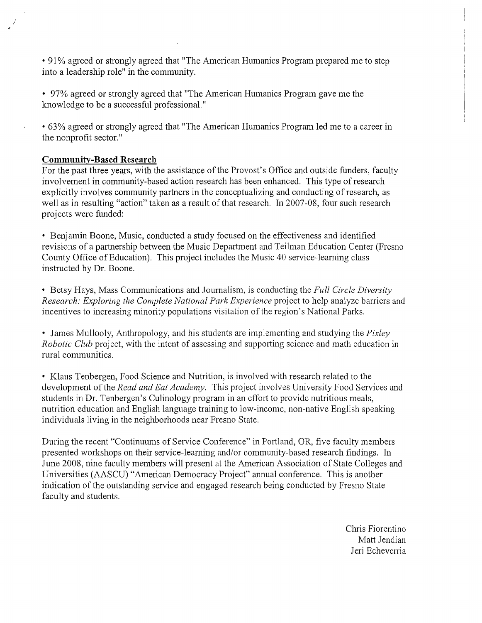• 91 % agreed or strongly agreed that "The American Humanics Program prepared me to step into a leadership role" in the community.

- 97% agreed or strongly agreed that "The American Humanics Program gave me the knowledge to be a successful professional."
- 63% agreed or strongly agreed that "The American Humanics Program led me to a career in the nonprofit sector."

# **Community-Based Research**

For the past three years, with the assistance of the Provost's Office and outside funders, faculty involvement in community-based action research has been enhanced. This type of research explicitly involves community partners in the conceptualizing and conducting of research, as well as in resulting "action" taken as a result of that research. In 2007-08, four such research projects were funded:

• Benjamin Boone, Music, conducted a study focused on the effectiveness and identified revisions of a partnership between the Music Department and Teilman Education Center (Fresno County Office of Education). This project includes the Music 40 service-learning class instructed by Dr. Boone.

• Betsy Hays, Mass Communications and Journalism, is conducting the *Full Circle Diversity Research: Exploring the Complete National Park Experience* project to help analyze barriers and incentives to increasing minority populations visitation of the region's National Parks.

• James Mullooly, Anthropology, and his students are implementing and studying the *Pixley Robotic Club* project, with the intent of assessing and supporting science and math education in rural communities.

• Klaus Tenbergen, Food Science and Nutrition, is involved with research related to the development of the *Read and Eat Academy*. This project involves University Food Services and students in Dr. Tenbergen's Culinology program in an effort to provide nutritious meals, nutrition education and English language training to low-income, non-native English speaking individuals living in the neighborhoods near Fresno State.

During the recent "Continuums of Service Conference" in Portland, OR, five faculty members presented workshops on their service-learning and/or community-based research findings. In June 2008, nine faculty members will present at the American Association of State Colleges and Universities (AASCU) "American Democracy Project" annual conference. This is another indication of the outstanding service and engaged research being conducted by Fresno State faculty and students.

> Chris Fiorentino Matt Jendian Jeri Echeverria